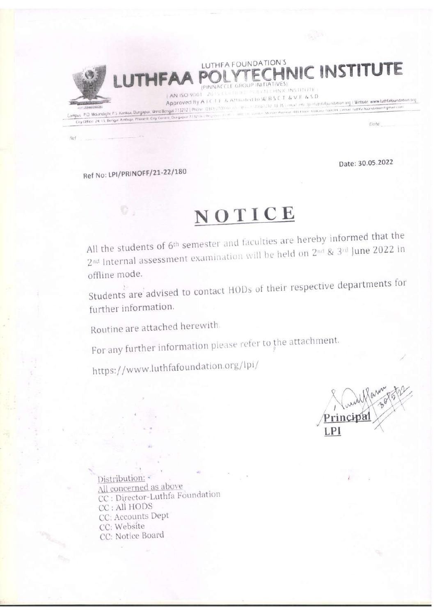LUTHFA FOUNDATION'S ECHNIC INSTITUTE PINNACCLE GROUP INITIATIVES

[AN ISO 9001 - 2015 CERTIFIED POLITIFIC HNIC INSTITUTE Approved By A I C T E. & Affiliated to W B S C T. & V E. & S D Campus P.O. Motandighi, P.S. Kanksa, Durgapui, West Bengal 713212 | Phone: 0341.710866.05. Atm. = 75061.31.33 35 | cmail info. fp=futhtidipundation.org | Website. www.luthfafoundation.org

Date

Date: 30.05.2022

Ref No: LPI/PRINOFF/21-22/180

 $Rx$  !

**LUTHFA** 

City Office: 24.15. Bengai Ambuja, Phase-It. City Centre, Durgapur 7:132 (b.) Respective

# NOTICE

All the students of 6<sup>th</sup> semester and faculties are hereby informed that the 2<sup>nd</sup> Internal assessment examination will be held on 2<sup>nd</sup> & 3<sup>rd</sup> June 2022 in offline mode.

Students are advised to contact HODs of their respective departments for further information.

Routine are attached herewith.

For any further information please refer to the attachment.

https://www.luthfafoundation.org/lpi/

Distribution: All concerned as above CC : Director-Luthfa Foundation CC : All HODS CC: Accounts Dept CC: Website CC: Notice Board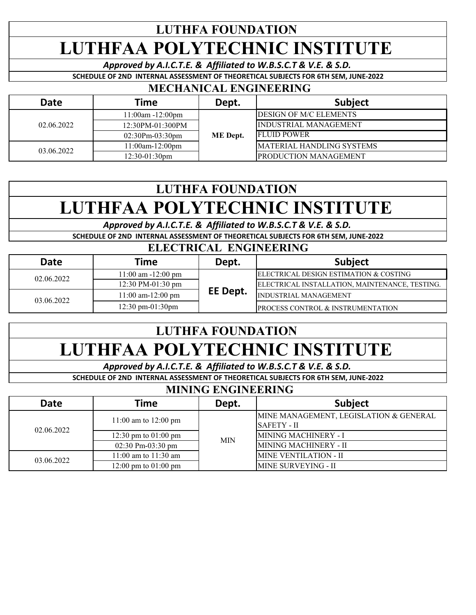## **LUTHFA FOUNDATION LUTHFAA POLYTECHNIC INSTITUTE**

*Approved by A.I.C.T.E. & Affiliated to W.B.S.C.T & V.E. & S.D.*

**SCHEDULE OF 2ND INTERNAL ASSESSMENT OF THEORETICAL SUBJECTS FOR 6TH SEM, JUNE-2022**

#### **MECHANICAL ENGINEERING**

| <b>Date</b> | Time                   | Dept.    | <b>Subject</b>                    |
|-------------|------------------------|----------|-----------------------------------|
| 02.06.2022  | $11:00am - 12:00pm$    | ME Dept. | <b>DESIGN OF M/C ELEMENTS</b>     |
|             | 12:30PM-01:300PM       |          | INDUSTRIAL MANAGEMENT             |
|             | $02:30Pm-03:30pm$      |          | <b>IFLUID POWER</b>               |
| 03.06.2022  | $11:00$ am- $12:00$ pm |          | <b>IMATERIAL HANDLING SYSTEMS</b> |
|             | $12:30-01:30$ pm       |          | <b>IPRODUCTION MANAGEMENT</b>     |

### **LUTHFA FOUNDATION LUTHFAA POLYTECHNIC INSTITUTE**

*Approved by A.I.C.T.E. & Affiliated to W.B.S.C.T & V.E. & S.D.*

**SCHEDULE OF 2ND INTERNAL ASSESSMENT OF THEORETICAL SUBJECTS FOR 6TH SEM, JUNE-2022**

#### **ELECTRICAL ENGINEERING**

| Date       | Time                               | Dept.    | <b>Subject</b>                                 |
|------------|------------------------------------|----------|------------------------------------------------|
| 02.06.2022 | 11:00 am -12:00 pm                 |          | IELECTRICAL DESIGN ESTIMATION & COSTING        |
|            | 12:30 PM-01:30 pm                  |          | ELECTRICAL INSTALLATION, MAINTENANCE, TESTING. |
| 03.06.2022 | $11:00$ am- $12:00$ pm             | EE Dept. | <b>INDUSTRIAL MANAGEMENT</b>                   |
|            | $12:30 \text{ pm}-01:30 \text{pm}$ |          | <b>PROCESS CONTROL &amp; INSTRUMENTATION</b>   |

### **LUTHFA FOUNDATION LUTHFAA POLYTECHNIC INSTITUTE**

*Approved by A.I.C.T.E. & Affiliated to W.B.S.C.T & V.E. & S.D.*

**SCHEDULE OF 2ND INTERNAL ASSESSMENT OF THEORETICAL SUBJECTS FOR 6TH SEM, JUNE-2022**

#### **MINING ENGINEERING**

| <b>Date</b> | Time                     | Dept.      | <b>Subject</b>                         |
|-------------|--------------------------|------------|----------------------------------------|
|             | 11:00 am to 12:00 pm     | <b>MIN</b> | MINE MANAGEMENT, LEGISLATION & GENERAL |
| 02.06.2022  |                          |            | <b>SAFETY - II</b>                     |
|             | 12:30 pm to $01:00$ pm   |            | MINING MACHINERY - I                   |
|             | $02:30$ Pm-03:30 pm      |            | MINING MACHINERY - II                  |
| 03.06.2022  | $11:00$ am to $11:30$ am |            | <b>MINE VENTILATION - II</b>           |
|             | 12:00 pm to $01:00$ pm   |            | <b>MINE SURVEYING - II</b>             |